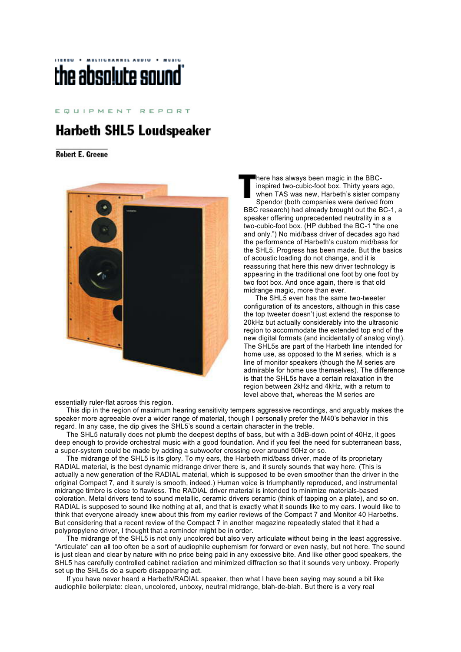## MULTICHANNEL AUDIO . MUSIC the absolute sound

EQUIPMENT REPORT

## **Harbeth SHL5 Loudspeaker**

**Robert E. Greene** 



essentially ruler-flat across this region.

 This dip in the region of maximum hearing sensitivity tempers aggressive recordings, and arguably makes the speaker more agreeable over a wider range of material, though I personally prefer the M40's behavior in this regard. In any case, the dip gives the SHL5's sound a certain character in the treble.

 The SHL5 naturally does not plumb the deepest depths of bass, but with a 3dB-down point of 40Hz, it goes deep enough to provide orchestral music with a good foundation. And if you feel the need for subterranean bass, a super-system could be made by adding a subwoofer crossing over around 50Hz or so.

 The midrange of the SHL5 is its glory. To my ears, the Harbeth mid/bass driver, made of its proprietary RADIAL material, is the best dynamic midrange driver there is, and it surely sounds that way here. (This is actually a new generation of the RADIAL material, which is supposed to be even smoother than the driver in the original Compact 7, and it surely is smooth, indeed.) Human voice is triumphantly reproduced, and instrumental midrange timbre is close to flawless. The RADIAL driver material is intended to minimize materials-based coloration. Metal drivers tend to sound metallic, ceramic drivers ceramic (think of tapping on a plate), and so on. RADIAL is supposed to sound like nothing at all, and that is exactly what it sounds like to my ears. I would like to think that everyone already knew about this from my earlier reviews of the Compact 7 and Monitor 40 Harbeths. But considering that a recent review of the Compact 7 in another magazine repeatedly stated that it had a polypropylene driver, I thought that a reminder might be in order.

 The midrange of the SHL5 is not only uncolored but also very articulate without being in the least aggressive. "Articulate" can all too often be a sort of audiophile euphemism for forward or even nasty, but not here. The sound is just clean and clear by nature with no price being paid in any excessive bite. And like other good speakers, the SHL5 has carefully controlled cabinet radiation and minimized diffraction so that it sounds very unboxy. Properly set up the SHL5s do a superb disappearing act.

 If you have never heard a Harbeth/RADIAL speaker, then what I have been saying may sound a bit like audiophile boilerplate: clean, uncolored, unboxy, neutral midrange, blah-de-blah. But there is a very real

here has always been magic in the BBCinspired two-cubic-foot box. Thirty years ago, when TAS was new, Harbeth's sister company Spendor (both companies were derived from BBC research) had already brought out the BC-1, a speaker offering unprecedented neutrality in a a two-cubic-foot box. (HP dubbed the BC-1 "the one and only.") No mid/bass driver of decades ago had the performance of Harbeth's custom mid/bass for the SHL5. Progress has been made. But the basics of acoustic loading do not change, and it is reassuring that here this new driver technology is appearing in the traditional one foot by one foot by two foot box. And once again, there is that old midrange magic, more than ever.

 The SHL5 even has the same two-tweeter configuration of its ancestors, although in this case the top tweeter doesn't just extend the response to 20kHz but actually considerably into the ultrasonic region to accommodate the extended top end of the new digital formats (and incidentally of analog vinyl). The SHL5s are part of the Harbeth line intended for home use, as opposed to the M series, which is a line of monitor speakers (though the M series are admirable for home use themselves). The difference is that the SHL5s have a certain relaxation in the region between 2kHz and 4kHz, with a return to level above that, whereas the M series are